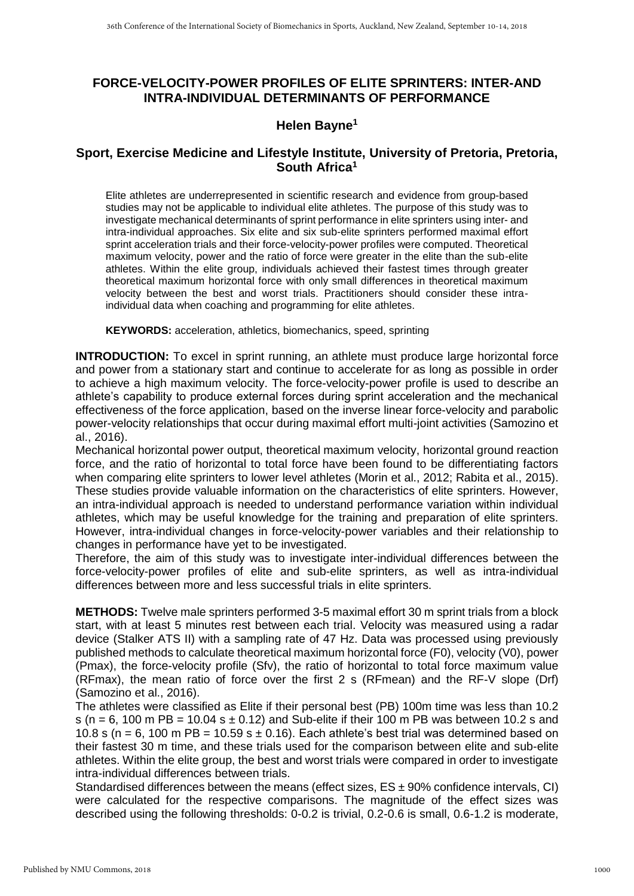## **FORCE-VELOCITY-POWER PROFILES OF ELITE SPRINTERS: INTER-AND INTRA-INDIVIDUAL DETERMINANTS OF PERFORMANCE**

## **Helen Bayne<sup>1</sup>**

## **Sport, Exercise Medicine and Lifestyle Institute, University of Pretoria, Pretoria, South Africa<sup>1</sup>**

Elite athletes are underrepresented in scientific research and evidence from group-based studies may not be applicable to individual elite athletes. The purpose of this study was to investigate mechanical determinants of sprint performance in elite sprinters using inter- and intra-individual approaches. Six elite and six sub-elite sprinters performed maximal effort sprint acceleration trials and their force-velocity-power profiles were computed. Theoretical maximum velocity, power and the ratio of force were greater in the elite than the sub-elite athletes. Within the elite group, individuals achieved their fastest times through greater theoretical maximum horizontal force with only small differences in theoretical maximum velocity between the best and worst trials. Practitioners should consider these intraindividual data when coaching and programming for elite athletes.

**KEYWORDS:** acceleration, athletics, biomechanics, speed, sprinting

**INTRODUCTION:** To excel in sprint running, an athlete must produce large horizontal force and power from a stationary start and continue to accelerate for as long as possible in order to achieve a high maximum velocity. The force-velocity-power profile is used to describe an athlete's capability to produce external forces during sprint acceleration and the mechanical effectiveness of the force application, based on the inverse linear force-velocity and parabolic power-velocity relationships that occur during maximal effort multi-joint activities (Samozino et al., 2016).

Mechanical horizontal power output, theoretical maximum velocity, horizontal ground reaction force, and the ratio of horizontal to total force have been found to be differentiating factors when comparing elite sprinters to lower level athletes (Morin et al., 2012; Rabita et al., 2015). These studies provide valuable information on the characteristics of elite sprinters. However, an intra-individual approach is needed to understand performance variation within individual athletes, which may be useful knowledge for the training and preparation of elite sprinters. However, intra-individual changes in force-velocity-power variables and their relationship to changes in performance have yet to be investigated.

Therefore, the aim of this study was to investigate inter-individual differences between the force-velocity-power profiles of elite and sub-elite sprinters, as well as intra-individual differences between more and less successful trials in elite sprinters.

**METHODS:** Twelve male sprinters performed 3-5 maximal effort 30 m sprint trials from a block start, with at least 5 minutes rest between each trial. Velocity was measured using a radar device (Stalker ATS II) with a sampling rate of 47 Hz. Data was processed using previously published methods to calculate theoretical maximum horizontal force (F0), velocity (V0), power (Pmax), the force-velocity profile (Sfv), the ratio of horizontal to total force maximum value (RFmax), the mean ratio of force over the first 2 s (RFmean) and the RF-V slope (Drf) (Samozino et al., 2016).

The athletes were classified as Elite if their personal best (PB) 100m time was less than 10.2 s (n = 6, 100 m PB = 10.04 s  $\pm$  0.12) and Sub-elite if their 100 m PB was between 10.2 s and 10.8 s (n = 6, 100 m PB = 10.59 s  $\pm$  0.16). Each athlete's best trial was determined based on their fastest 30 m time, and these trials used for the comparison between elite and sub-elite athletes. Within the elite group, the best and worst trials were compared in order to investigate intra-individual differences between trials.

Standardised differences between the means (effect sizes,  $ES \pm 90\%$  confidence intervals, CI) were calculated for the respective comparisons. The magnitude of the effect sizes was described using the following thresholds: 0-0.2 is trivial, 0.2-0.6 is small, 0.6-1.2 is moderate,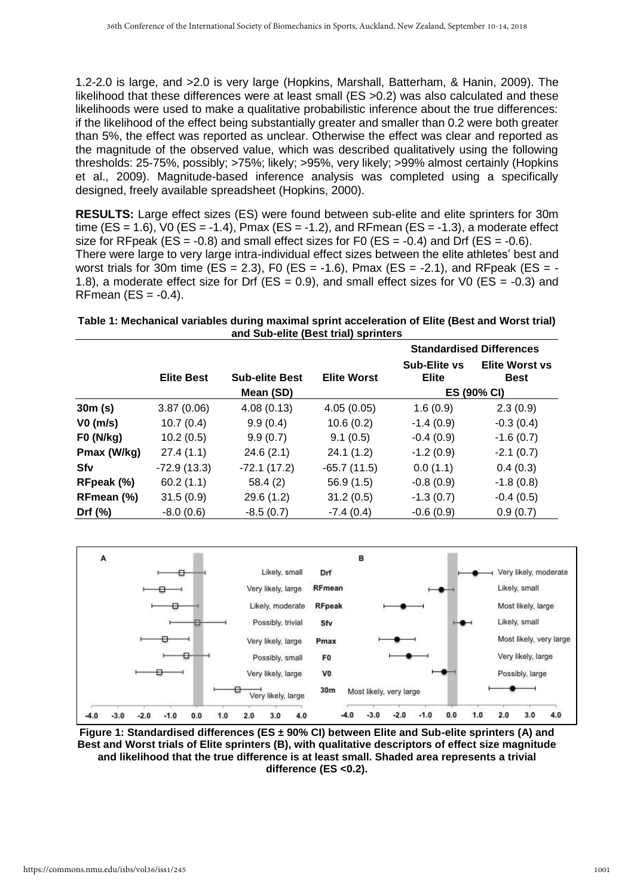1.2-2.0 is large, and >2.0 is very large (Hopkins, Marshall, Batterham, & Hanin, 2009). The likelihood that these differences were at least small (ES >0.2) was also calculated and these likelihoods were used to make a qualitative probabilistic inference about the true differences: if the likelihood of the effect being substantially greater and smaller than 0.2 were both greater than 5%, the effect was reported as unclear. Otherwise the effect was clear and reported as the magnitude of the observed value, which was described qualitatively using the following thresholds: 25-75%, possibly; >75%; likely; >95%, very likely; >99% almost certainly (Hopkins et al., 2009). Magnitude-based inference analysis was completed using a specifically designed, freely available spreadsheet (Hopkins, 2000).

**RESULTS:** Large effect sizes (ES) were found between sub-elite and elite sprinters for 30m time (ES = 1.6), V0 (ES = -1.4), Pmax (ES = -1.2), and RFmean (ES = -1.3), a moderate effect size for RFpeak (ES =  $-0.8$ ) and small effect sizes for F0 (ES =  $-0.4$ ) and Drf (ES =  $-0.6$ ). There were large to very large intra-individual effect sizes between the elite athletes' best and worst trials for 30m time (ES = 2.3), F0 (ES = -1.6), Pmax (ES = -2.1), and RFpeak (ES = -1.8), a moderate effect size for Drf ( $ES = 0.9$ ), and small effect sizes for V0 ( $ES = -0.3$ ) and RFmean  $(ES = -0.4)$ .

| Table 1: Mechanical variables during maximal sprint acceleration of Elite (Best and Worst trial) |  |  |  |  |  |
|--------------------------------------------------------------------------------------------------|--|--|--|--|--|
| and Sub-elite (Best trial) sprinters                                                             |  |  |  |  |  |

|                  |                   |                       |                    | <b>Standardised Differences</b> |                                      |
|------------------|-------------------|-----------------------|--------------------|---------------------------------|--------------------------------------|
|                  | <b>Elite Best</b> | <b>Sub-elite Best</b> | <b>Elite Worst</b> | Sub-Elite vs<br><b>Elite</b>    | <b>Elite Worst vs</b><br><b>Best</b> |
|                  |                   | Mean (SD)             |                    | ES (90% CI)                     |                                      |
| 30m(s)           | 3.87(0.06)        | 4.08(0.13)            | 4.05(0.05)         | 1.6(0.9)                        | 2.3(0.9)                             |
| VO (m/s)         | 10.7(0.4)         | 9.9(0.4)              | 10.6(0.2)          | $-1.4(0.9)$                     | $-0.3(0.4)$                          |
| <b>F0 (N/kg)</b> | 10.2(0.5)         | 9.9(0.7)              | 9.1(0.5)           | $-0.4(0.9)$                     | $-1.6(0.7)$                          |
| Pmax (W/kg)      | 27.4(1.1)         | 24.6(2.1)             | 24.1(1.2)          | $-1.2(0.9)$                     | $-2.1(0.7)$                          |
| Sfv              | $-72.9(13.3)$     | $-72.1(17.2)$         | $-65.7(11.5)$      | 0.0(1.1)                        | 0.4(0.3)                             |
| RFpeak (%)       | 60.2(1.1)         | 58.4(2)               | 56.9(1.5)          | $-0.8(0.9)$                     | $-1.8(0.8)$                          |
| RFmean (%)       | 31.5(0.9)         | 29.6(1.2)             | 31.2(0.5)          | $-1.3(0.7)$                     | $-0.4(0.5)$                          |
| Drf $(\%)$       | $-8.0(0.6)$       | $-8.5(0.7)$           | $-7.4(0.4)$        | $-0.6(0.9)$                     | 0.9(0.7)                             |



**Figure 1: Standardised differences (ES ± 90% CI) between Elite and Sub-elite sprinters (A) and Best and Worst trials of Elite sprinters (B), with qualitative descriptors of effect size magnitude and likelihood that the true difference is at least small. Shaded area represents a trivial difference (ES <0.2).**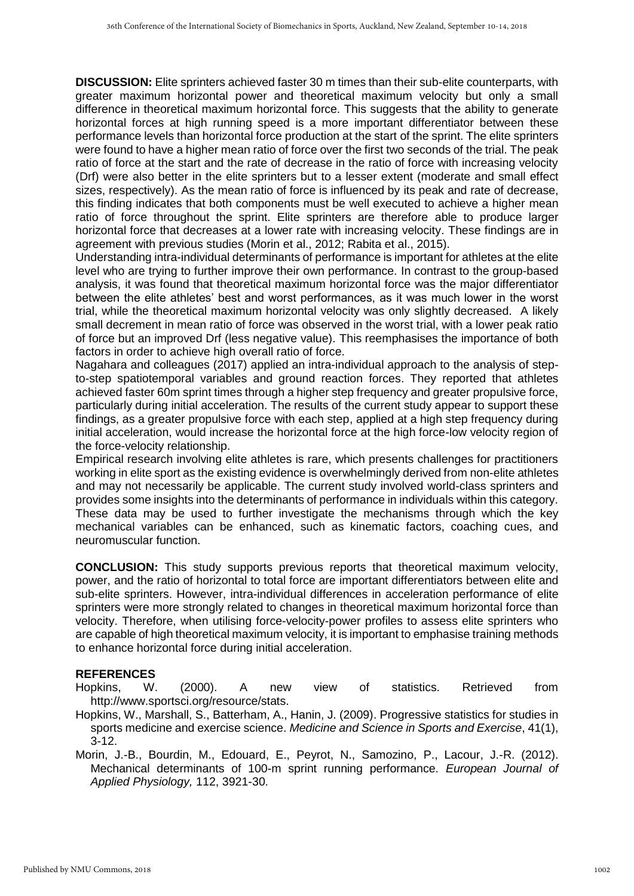**DISCUSSION:** Elite sprinters achieved faster 30 m times than their sub-elite counterparts, with greater maximum horizontal power and theoretical maximum velocity but only a small difference in theoretical maximum horizontal force. This suggests that the ability to generate horizontal forces at high running speed is a more important differentiator between these performance levels than horizontal force production at the start of the sprint. The elite sprinters were found to have a higher mean ratio of force over the first two seconds of the trial. The peak ratio of force at the start and the rate of decrease in the ratio of force with increasing velocity (Drf) were also better in the elite sprinters but to a lesser extent (moderate and small effect sizes, respectively). As the mean ratio of force is influenced by its peak and rate of decrease, this finding indicates that both components must be well executed to achieve a higher mean ratio of force throughout the sprint. Elite sprinters are therefore able to produce larger horizontal force that decreases at a lower rate with increasing velocity. These findings are in agreement with previous studies (Morin et al., 2012; Rabita et al., 2015).

Understanding intra-individual determinants of performance is important for athletes at the elite level who are trying to further improve their own performance. In contrast to the group-based analysis, it was found that theoretical maximum horizontal force was the major differentiator between the elite athletes' best and worst performances, as it was much lower in the worst trial, while the theoretical maximum horizontal velocity was only slightly decreased. A likely small decrement in mean ratio of force was observed in the worst trial, with a lower peak ratio of force but an improved Drf (less negative value). This reemphasises the importance of both factors in order to achieve high overall ratio of force.

Nagahara and colleagues (2017) applied an intra-individual approach to the analysis of stepto-step spatiotemporal variables and ground reaction forces. They reported that athletes achieved faster 60m sprint times through a higher step frequency and greater propulsive force, particularly during initial acceleration. The results of the current study appear to support these findings, as a greater propulsive force with each step, applied at a high step frequency during initial acceleration, would increase the horizontal force at the high force-low velocity region of the force-velocity relationship.

Empirical research involving elite athletes is rare, which presents challenges for practitioners working in elite sport as the existing evidence is overwhelmingly derived from non-elite athletes and may not necessarily be applicable. The current study involved world-class sprinters and provides some insights into the determinants of performance in individuals within this category. These data may be used to further investigate the mechanisms through which the key mechanical variables can be enhanced, such as kinematic factors, coaching cues, and neuromuscular function.

**CONCLUSION:** This study supports previous reports that theoretical maximum velocity, power, and the ratio of horizontal to total force are important differentiators between elite and sub-elite sprinters. However, intra-individual differences in acceleration performance of elite sprinters were more strongly related to changes in theoretical maximum horizontal force than velocity. Therefore, when utilising force-velocity-power profiles to assess elite sprinters who are capable of high theoretical maximum velocity, it is important to emphasise training methods to enhance horizontal force during initial acceleration.

## **REFERENCES**

- Hopkins, W. (2000). A new view of statistics. Retrieved from http://www.sportsci.org/resource/stats.
- Hopkins, W., Marshall, S., Batterham, A., Hanin, J. (2009). Progressive statistics for studies in sports medicine and exercise science. *Medicine and Science in Sports and Exercise*, 41(1),  $3 - 12$
- Morin, J.-B., Bourdin, M., Edouard, E., Peyrot, N., Samozino, P., Lacour, J.-R. (2012). Mechanical determinants of 100-m sprint running performance. *European Journal of Applied Physiology,* 112, 3921-30.